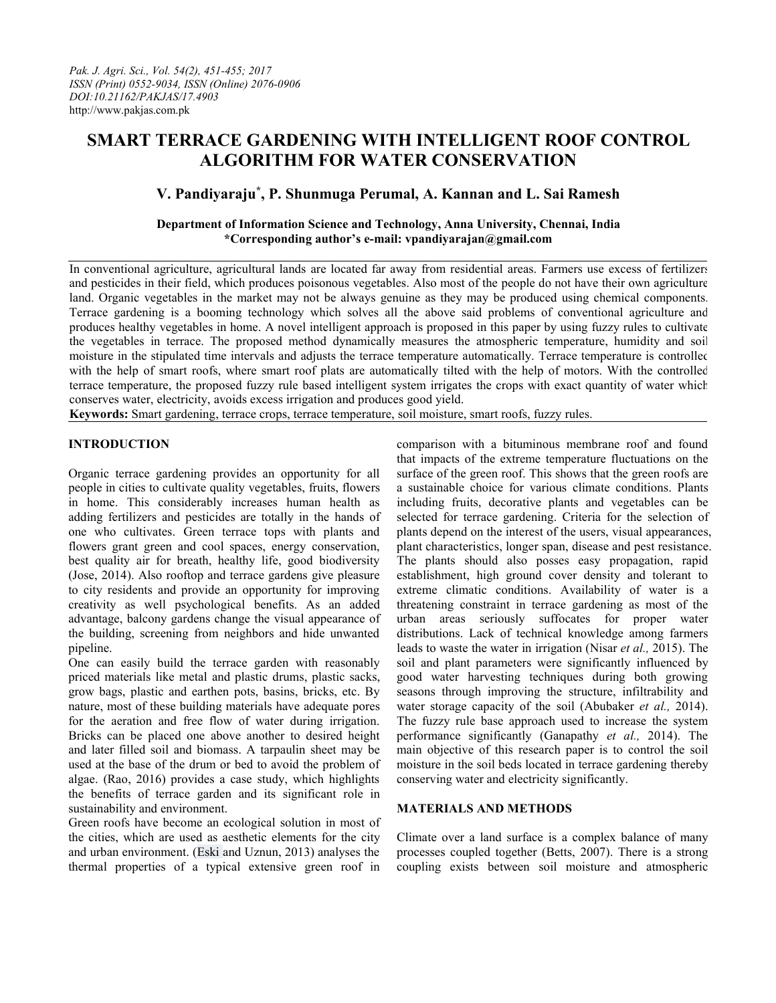# **SMART TERRACE GARDENING WITH INTELLIGENT ROOF CONTROL ALGORITHM FOR WATER CONSERVATION**

# **V. Pandiyaraju \* , P. Shunmuga Perumal, A. Kannan and L. Sai Ramesh**

## **Department of Information Science and Technology, Anna University, Chennai, India \*Corresponding author's e-mail: vpandiyarajan@gmail.com**

In conventional agriculture, agricultural lands are located far away from residential areas. Farmers use excess of fertilizers and pesticides in their field, which produces poisonous vegetables. Also most of the people do not have their own agriculture land. Organic vegetables in the market may not be always genuine as they may be produced using chemical components. Terrace gardening is a booming technology which solves all the above said problems of conventional agriculture and produces healthy vegetables in home. A novel intelligent approach is proposed in this paper by using fuzzy rules to cultivate the vegetables in terrace. The proposed method dynamically measures the atmospheric temperature, humidity and soil moisture in the stipulated time intervals and adjusts the terrace temperature automatically. Terrace temperature iscontrolled with the help of smart roofs, where smart roof plats are automatically tilted with the help of motors. With the controlled terrace temperature, the proposed fuzzy rule based intelligent system irrigates the crops with exact quantity of water which conserves water, electricity, avoids excess irrigation and produces good yield.

**Keywords:** Smart gardening, terrace crops, terrace temperature, soil moisture, smart roofs, fuzzy rules.

### **INTRODUCTION**

Organic terrace gardening provides an opportunity for all people in cities to cultivate quality vegetables, fruits, flowers in home. This considerably increases human health as adding fertilizers and pesticides are totally in the hands of one who cultivates.Green terrace tops with plants and flowers grant green and cool spaces, energy conservation, best quality air for breath, healthy life, good biodiversity (Jose, 2014). Also rooftop and terrace gardens give pleasure to city residents and provide an opportunity for improving creativity as well psychological benefits. As an added advantage, balcony gardens change the visual appearance of the building, screening from neighbors and hide unwanted pipeline.

One can easily build the terrace garden with reasonably priced materials like metal and plastic drums, plastic sacks, grow bags, plastic and earthen pots, basins, bricks, etc. By nature, most of these building materials have adequate pores for the aeration and free flow of water during irrigation. Bricks can be placed one above another to desired height and later filled soil and biomass. A tarpaulin sheet may be used at the base of the drum or bed to avoid the problem of algae. (Rao, 2016) provides a case study, which highlights the benefits of terrace garden and its significant role in sustainability and environment.

Green roofs have become an ecological solution in most of the cities, which are used as aesthetic elements for the city and urban environment. (Eski and Uznun, 2013) analyses the thermal properties of a typical extensive green roof in

comparison with a bituminous membrane roof and found that impacts of the extreme temperature fluctuations on the surface of the green roof. This shows that the green roofs are a sustainable choice for various climate conditions. Plants including fruits, decorative plants and vegetables can be selected for terrace gardening. Criteria for the selection of plants depend on the interest of the users, visual appearances, plant characteristics, longer span, disease and pest resistance. The plants should also posses easy propagation, rapid establishment, high ground cover density and tolerant to extreme climatic conditions. Availability of water is a threatening constraint in terrace gardening as most of the urban areas seriously suffocates for proper water distributions. Lack of technical knowledge among farmers leads to waste the water in irrigation (Nisar *et al.,* 2015). The soil and plant parameters were significantly influenced by good water harvesting techniques during both growing seasons through improving the structure, infiltrability and water storage capacity of the soil (Abubaker *et al.,* 2014). The fuzzy rule base approach used to increase the system performance significantly (Ganapathy *et al.,* 2014). The main objective of this research paper is to control the soil moisture in the soil beds located in terrace gardening thereby conserving water and electricity significantly.

### **MATERIALS AND METHODS**

Climate over a land surface is a complex balance of many processes coupled together (Betts,  $2007$ ). There is a strong coupling exists between soil moisture and atmospheric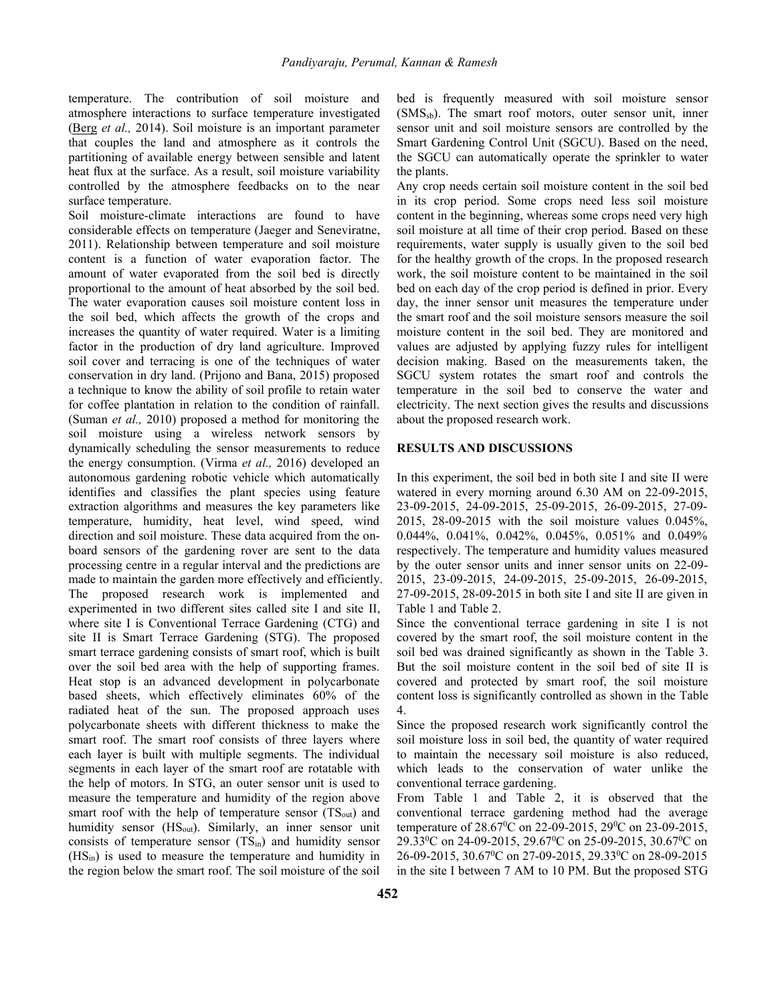temperature. The contribution of soil moisture and atmosphere interactions to surface temperature investigated [\(Berg](http://journals.ametsoc.org/author/Berg,+Alexis) *et al.*, 2014). Soil moisture is an important parameter that couples the land and atmosphere as it controls the partitioning of available energy between sensible and latent heat flux at the surface. As a result, soil moisture variability controlled by the atmosphere feedbacks on to the near surface temperature.

Soil moisture-climate interactions are found to have considerable effects on temperature (Jaeger and Seneviratne, 2011). Relationship between temperature and soil moisture content is a function of water evaporation factor. The amount of water evaporated from the soil bed is directly proportional to the amount of heat absorbed by the soil bed. The water evaporation causes soil moisture content loss in the soil bed, which affects the growth of the crops and increases the quantity of water required. Water is a limiting factor in the production of dry land agriculture. Improved soil cover and terracing is one of the techniques of water conservation in dry land. (Prijono and Bana, 2015) proposed a technique to know the ability of soil profile to retain water for coffee plantation in relation to the condition of rainfall.(Suman *et al.,* 2010) proposed <sup>a</sup> method for monitoring the soil moisture using a wireless network sensors by dynamically scheduling the sensor measurements to reduce the energy consumption. (Virma *et al.,* 2016) developed an autonomous gardening robotic vehicle which automatically identifies and classifies the plant species using feature extraction algorithms and measures the key parameters like temperature, humidity, heat level, wind speed, wind direction and soil moisture. These data acquired from the on board sensors of the gardening rover are sent to the data processing centre in a regular interval and the predictions are made to maintain the garden more effectively and efficiently.<br>The proposed research work is implemented and experimented in two different sites called site I and site II, where site I is Conventional Terrace Gardening (CTG) and site II is Smart Terrace Gardening (STG). The proposed smart terrace gardening consists of smart roof, which is built over the soil bed area with the help of supporting frames. Heat stop is an advanced development in polycarbonate based sheets, which effectively eliminates 60% of the radiated heat of the sun. The proposed approach uses polycarbonate sheets with different thickness to make the smart roof. The smart roof consists of three layers where each layer is built with multiple segments. The individual segments in each layer of the smart roof are rotatable with the help of motors. In STG, an outer sensor unit is used to measure the temperature and humidity of the region above smart roof with the help of temperature sensor  $(TS_{out})$  and humidity sensor (HS<sub>out</sub>). Similarly, an inner sensor unit consists of temperature sensor  $(TS<sub>in</sub>)$  and humidity sensor (HSin) is used to measure the temperature and humidity in the region below the smart roof. The soil moisture of the soil

bed is frequently measured with soil moisture sensor  $(SMS<sub>sb</sub>)$ . The smart roof motors, outer sensor unit, inner sensor unit and soil moisture sensors are controlled by the Smart Gardening Control Unit (SGCU). Based on the need, the SGCU can automatically operate the sprinkler to water the plants.

Any crop needs certain soil moisture content in the soil bed in its crop period. Some crops need less soil moisture content in the beginning, whereas some crops need very high soil moisture at all time of their crop period. Based on these requirements, water supply is usually given to the soil bed for the healthy growth of the crops. In the proposed research work, the soil moisture content to be maintained in the soil bed on each day of the crop period is defined in prior. Every day, the inner sensor unit measures the temperature under the smart roof and the soil moisture sensors measure the soil moisture content in the soil bed. They are monitored and values are adjusted by applying fuzzy rules for intelligent decision making. Based on the measurements taken, the SGCU system rotates the smart roof and controls the temperature in the soil bed to conserve the water and electricity. The next section gives the results and discussions about the proposed research work.

#### **RESULTS AND DISCUSSIONS**

In this experiment, the soil bed in both site I and site II were watered in every morning around 6.30 AM on 22-09-2015, 23-09-2015, 24-09-2015, 25-09-2015, 26-09-2015, 27-09- 2015, 28-09-2015 with the soil moisture values 0.045%, 0.044%, 0.041%, 0.042%, 0.045%, 0.051% and 0.049% respectively. The temperature and humidity values measured by the outer sensor units and inner sensor units on 22-09- 2015, 23-09-2015, 24-09-2015, 25-09-2015, 26-09-2015, 27-09-2015, 28-09-2015 in both site I and site II are given in Table 1 and Table 2.

Since the conventional terrace gardening in site I is not covered by the smart roof, the soil moisture content in the soil bed was drained significantly as shown in the Table 3. But the soil moisture content in the soil bed of site II is covered and protected by smart roof, the soil moisture content loss is significantly controlled as shown in the Table 4.

Since the proposed research work significantly control the soil moisture loss in soil bed, the quantity of water required to maintain the necessary soil moisture is also reduced, which leads to the conservation of water unlike the conventional terrace gardening.

From Table 1 and Table 2, it is observed that the conventional terrace gardening method had the average temperature of 28.67 <sup>0</sup>C on 22-09-2015, 29 <sup>0</sup>C on 23-09-2015, 29.33<sup>o</sup>C on 24-09-2015, 29.67<sup>o</sup>C on 25-09-2015, 30.67<sup>o</sup>C on 26-09-2015, 30.67 <sup>0</sup>C on 27-09-2015, 29.33 <sup>0</sup>C on 28-09-2015 in the site I between 7 AM to 10 PM. But the proposed STG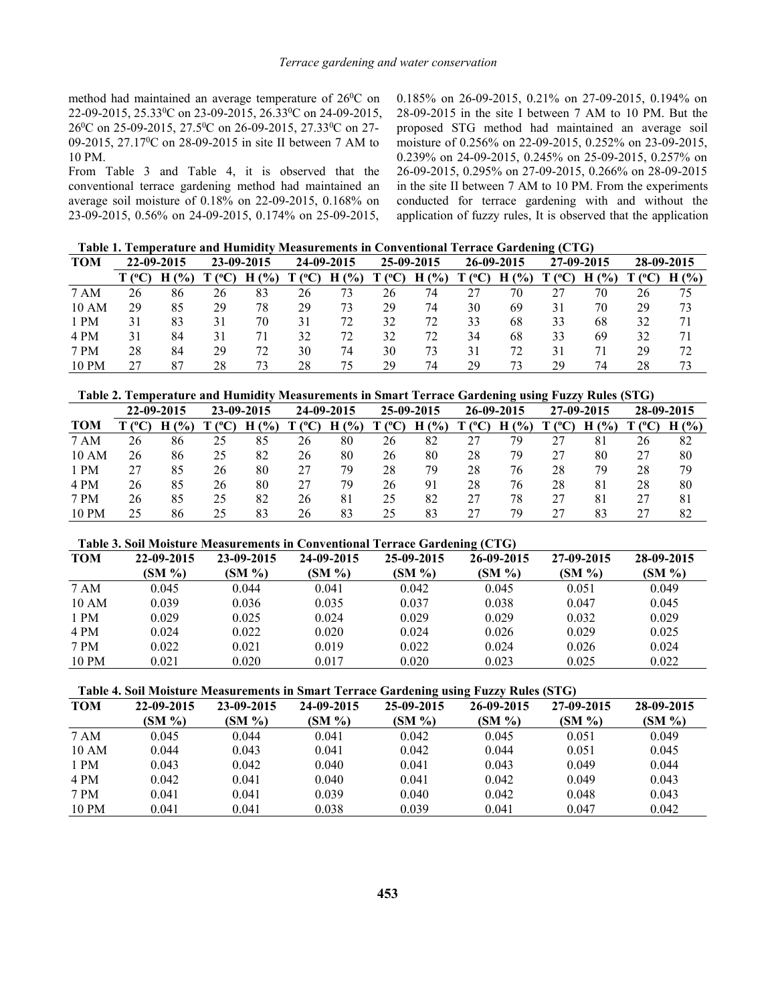method had maintained an average temperature of 26<sup>0</sup>C on 22-09-2015, 25.33 <sup>0</sup>C on 23-09-2015, 26.33 <sup>0</sup>C on 24-09-2015, 26<sup>0</sup>C on 25-09-2015, 27.5<sup>0</sup>C on 26-09-2015, 27.33<sup>0</sup>C on 27- proposed 09-2015, 27.17<sup>0</sup>C on 28-09-2015 in site II between 7 AM to moisture of 0.256% on 22-09-2015 10 PM.

From Table 3 and Table 4, it is observed that the conventional terrace gardening method had maintained an average soil moisture of 0.18% on 22-09-2015, 0.168% on 23-09-2015, 0.56% on 24-09-2015, 0.174% on 25-09-2015,

<sup>0</sup>C on 0.185% on 26-09-2015, 0.21% on 27-09-2015, 0.194% on <sup>0</sup>C on 27- proposed STG method had maintained an average soil 28-09-2015 in the site I between 7 AM to 10 PM. But the moisture of 0.256% on 22-09-2015, 0.252% on 23-09-2015, 0.239% on 24-09-2015, 0.245% on 25-09-2015, 0.257% on 26-09-2015, 0.295% on 27-09-2015, 0.266% on 28-09-2015 in the site II between 7 AM to 10 PM. From the experiments conducted for terrace gardening with and without the application of fuzzy rules, It is observed that the application

| Table 1. Temperature and Humidity Measurements in Conventional Terrace Gardening (CTG) |  |  |
|----------------------------------------------------------------------------------------|--|--|
|----------------------------------------------------------------------------------------|--|--|

| <b>TOM</b> |               | 22-09-2015 |    | 23-09-2015 |    | 24-09-2015 |                        | 25-09-2015 |               | 26-09-2015 |       | 27-09-2015  |        | 28-09-2015 |
|------------|---------------|------------|----|------------|----|------------|------------------------|------------|---------------|------------|-------|-------------|--------|------------|
|            | $\Gamma$ (°C) | $H(\%)$    |    | $($ %)     |    | $H(\%)$    | $\Gamma$ (°C) $\Gamma$ | H(%)       | $^{\circ}$ C) | H(%)       | T(°C) | $($ %)<br>Н | ' (°C) | H(%)       |
| 7 AM       | 26            | 86         | 26 | 83         | 26 | 73         | 26                     | 74         | 27            | 70         |       | 70          | 26     | 75         |
| 10 AM      | 29            | 85         | 29 | 78         | 29 | 73         | 29                     | 74         | 30            | 69         | 31    | 70          | 29     | 73         |
| 1 PM       | 31            | 83         | 31 | 70         | 31 | 72         | 32                     | 72         | 33            | 68         | 33    | 68          | 32     | 71         |
| 4 PM       | 31            | 84         | 31 | 71         | 32 | 72         | 32                     | 72         | 34            | 68         | 33    | 69          | 32     | 71         |
| 7 PM       | 28            | 84         | 29 | 72         | 30 | 74         | 30                     | 73         | 31            | 72         | 31    |             | 29     | 72         |
| 10 PM      | 27            | 87         | 28 | 73         | 28 | 75         | 29                     | 74         | 29            | 73         | 29    | 74          | 28     | 73         |

**Table 2. Temperature and Humidity Measurements in Smart Terrace Gardening using Fuzzy Rules (STG)**

|            |    | 22-09-2015 |    | 23-09-2015 |                 | 24-09-2015 |                | 25-09-2015 |          | 26-09-2015 |       | 27-09-2015  |                 | 28-09-2015 |
|------------|----|------------|----|------------|-----------------|------------|----------------|------------|----------|------------|-------|-------------|-----------------|------------|
| <b>TOM</b> |    | $($ %)     |    | H(%)       | $^{\circ}$ (°C) | $H(\%)$    | $(C^{\circ}C)$ | $H(\%)$    | $T(^0C)$ | H<br>(%)   | T(°C) | $($ %)<br>Н | $^{\circ}$ (°C) | $H(\%)$    |
| 7 AM       | 26 | 86         | 25 | 85         | 26              | 80         | 26             | 82         | 27       | 79         |       | 81          | 26              | 82         |
| 10 AM      | 26 | 86         | 25 | 82         | 26              | 80         | 26             | 80         | 28       | 79         | 27    | 80          | 27              | 80         |
| 1 PM       | 27 | 85         | 26 | 80         | 27              | 79         | 28             | 79         | 28       | 76         | 28    | 79          | 28              | 79         |
| 4 PM       | 26 | 85         | 26 | 80         | 27              | 79         | 26             | 91         | 28       | 76         | 28    | 81          | 28              | 80         |
| 7 PM       | 26 | 85         | 25 | 82         | 26              | 81         | 25             | 82         | 27       | 78         | 27    | 81          | 27              | 81         |
| 10 PM      | 25 | 86         | 25 | 83         | 26              | 83         | 25             | 83         | 27       | 79         | 27    | 83          | $\mathcal{L}$   | 82         |

#### **Table 3. Soil Moisture Measurements in Conventional Terrace Gardening (CTG)**

|            |            |            |            |            | $\sim$     |            |            |
|------------|------------|------------|------------|------------|------------|------------|------------|
| <b>TOM</b> | 22-09-2015 | 23-09-2015 | 24-09-2015 | 25-09-2015 | 26-09-2015 | 27-09-2015 | 28-09-2015 |
|            | (SM %)     | $(SM\% )$  | $(SM\% )$  | (SM %)     | $(SM\% )$  | $(SM\% )$  | $(SM \% )$ |
| 7 AM       | 0.045      | 0.044      | 0.041      | 0.042      | 0.045      | 0.051      | 0.049      |
| 10 AM      | 0.039      | 0.036      | 0.035      | 0.037      | 0.038      | 0.047      | 0.045      |
| 1 PM       | 0.029      | 0.025      | 0.024      | 0.029      | 0.029      | 0.032      | 0.029      |
| 4 PM       | 0.024      | 0.022      | 0.020      | 0.024      | 0.026      | 0.029      | 0.025      |
| 7 PM       | 0.022      | 0.021      | 0.019      | 0.022      | 0.024      | 0.026      | 0.024      |
| 10 PM      | 0.021      | 0.020      | 0.017      | 0.020      | 0.023      | 0.025      | 0.022      |

**Table 4. Soil Moisture Measurements in Smart Terrace Gardening using Fuzzy Rules (STG)**

| <b>TOM</b> | 22-09-2015 | 23-09-2015 | 24-09-2015 | 25-09-2015 | 26-09-2015 | 27-09-2015 | 28-09-2015 |
|------------|------------|------------|------------|------------|------------|------------|------------|
|            | $(SM\% )$  | $(SM\% )$  | $(SM\% )$  | $(SM\% )$  | $(SM\% )$  | $(SM \% )$ | $(SM \% )$ |
| 7 AM       | 0.045      | 0.044      | 0.041      | 0.042      | 0.045      | 0.051      | 0.049      |
| 10 AM      | 0.044      | 0.043      | 0.041      | 0.042      | 0.044      | 0.051      | 0.045      |
| 1 PM       | 0.043      | 0.042      | 0.040      | 0.041      | 0.043      | 0.049      | 0.044      |
| 4 PM       | 0.042      | 0.041      | 0.040      | 0.041      | 0.042      | 0.049      | 0.043      |
| 7 PM       | 0.041      | 0.041      | 0.039      | 0.040      | 0.042      | 0.048      | 0.043      |
| 10 PM      | 0.041      | 0.041      | 0.038      | 0.039      | 0.041      | 0.047      | 0.042      |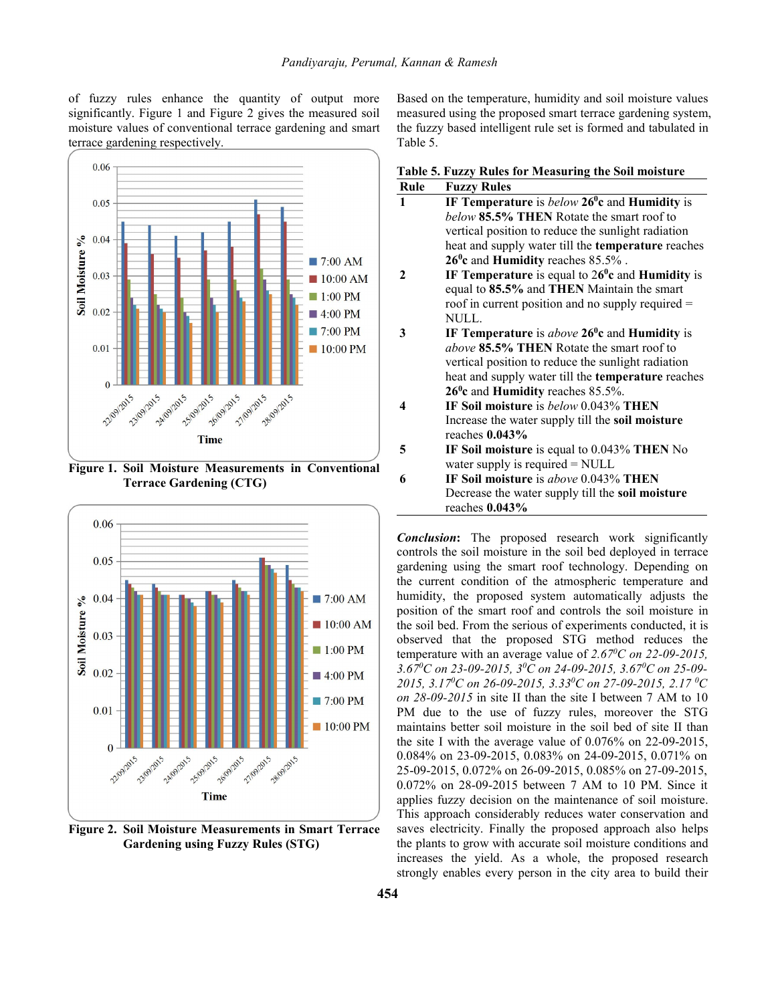of fuzzy rules enhance the quantity of output more significantly. Figure 1 and Figure 2 gives the measured soil moisture values of conventional terrace gardening and smart terrace gardening respectively.



**Figure 1. SoilMoisture Measurements in Conventional Terrace Gardening (CTG)**



**Figure 2. SoilMoisture Measurements in Smart Terrace Gardening using Fuzzy Rules (STG)**

Based on the temperature, humidity and soil moisture values measured using the proposed smart terrace gardening system, the fuzzy based intelligent rule set is formed and tabulated in Table 5.

| Table 5. Fuzzy Rules for Measuring the Soil moisture |  |
|------------------------------------------------------|--|
| <b>Rule</b> Fuzzy Rules                              |  |

| wan          | I ULLI IAUILI                                                 |
|--------------|---------------------------------------------------------------|
| $\mathbf{1}$ | IF Temperature is $below\ 26^0c$ and Humidity is              |
|              | <i>below</i> 85.5% THEN Rotate the smart roof to              |
|              | vertical position to reduce the sunlight radiation            |
|              | heat and supply water till the <b>temperature</b> reaches     |
|              | $26^0c$ and Humidity reaches 85.5%.                           |
|              | IF Temperature is equal to $26^{\circ}$ c and Humidity is     |
|              | equal to 85.5% and THEN Maintain the smart                    |
|              | roof in current position and no supply required =             |
|              | NULL.                                                         |
| 3            | IF Temperature is <i>above</i> $26^{\circ}$ c and Humidity is |
|              | above 85.5% THEN Rotate the smart roof to                     |
|              | vertical position to reduce the sunlight radiation            |
|              | heat and supply water till the <b>temperature</b> reaches     |
|              | $26^{\circ}$ c and Humidity reaches 85.5%.                    |
| 4            | IF Soil moisture is below 0.043% THEN                         |
|              | Increase the water supply till the soil moisture              |
|              | reaches $0.043\%$                                             |
| 5            | IF Soil moisture is equal to 0.043% THEN No                   |
|              | water supply is required $=$ NULL                             |
| 6            | <b>IF Soil moisture</b> is <i>above</i> 0.043% <b>THEN</b>    |
|              | Decrease the water supply till the soil moisture              |
|              | reaches $0.043\%$                                             |

*Conclusion***:** The proposed research work significantly controls the soil moisture in the soil bed deployed in terrace gardening using the smart roof technology. Depending on the current condition of the atmospheric temperature and humidity, the proposed system automatically adjusts the position of the smart roof and controls the soil moisture in the soil bed. From the serious of experiments conducted, it is observed that the proposed STG method reduces the temperature with an average value of *2.67 <sup>0</sup>C on 22-09-2015, 3.67 <sup>0</sup>C on 23-09-2015, 3 <sup>0</sup>C on 24-09-2015, 3.67 <sup>0</sup>C on 25-09- 2015, 3.17 <sup>0</sup>C on 26-09-2015, 3.33 <sup>0</sup>C on 27-09-2015, 2.17 <sup>0</sup>C on 28-09-2015* in site II than the site I between 7 AM to 10 PM due to the use of fuzzy rules, moreover the STG maintains better soil moisture in the soil bed of site II than the site I with the average value of 0.076% on 22-09-2015, 0.084% on 23-09-2015, 0.083% on 24-09-2015, 0.071% on 25-09-2015, 0.072% on 26-09-2015, 0.085% on 27-09-2015, 0.072% on 28-09-2015 between 7 AM to 10 PM. Since it applies fuzzy decision on the maintenance of soil moisture. This approach considerably reduces water conservation and saves electricity. Finally the proposed approach also helps the plants to grow with accurate soil moisture conditions and increases the yield. As a whole, the proposed research strongly enables every person in the city area to build their